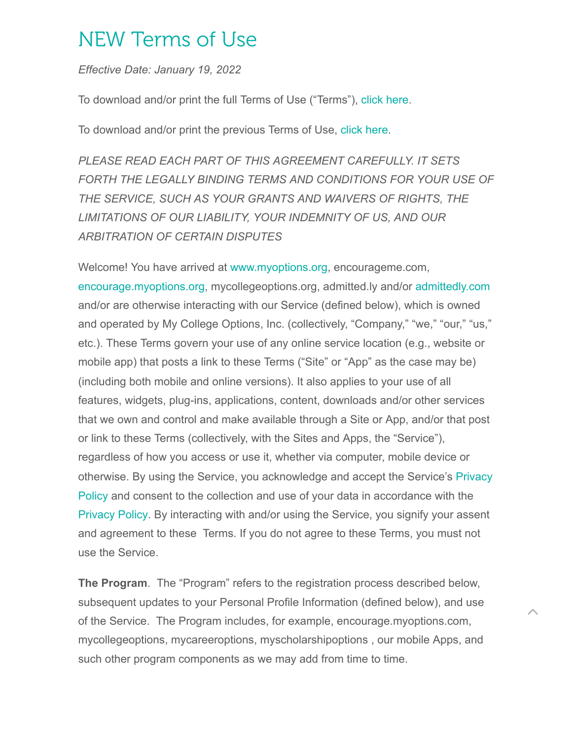# NEW Terms of Use

*Effective Date: January 19, 2022*

To download and/or print the full Terms of Use ("Terms"), [click here](https://myoptions.org/wp-content/uploads/2022/01/Terms-of-Use-2022-myOptions.pdf).

To download and/or print the previous Terms of Use, [click here](https://myoptions.org/wp-content/uploads/2022/01/Terms-of-Use-2021-myOptions.pdf).

*PLEASE READ EACH PART OF THIS AGREEMENT CAREFULLY. IT SETS FORTH THE LEGALLY BINDING TERMS AND CONDITIONS FOR YOUR USE OF THE SERVICE, SUCH AS YOUR GRANTS AND WAIVERS OF RIGHTS, THE LIMITATIONS OF OUR LIABILITY, YOUR INDEMNITY OF US, AND OUR ARBITRATION OF CERTAIN DISPUTES*

Welcome! You have arrived at [www.myoptions.org,](http://www.myoptions.org/) encourageme.com, [encourage.myoptions.org](http://encourage.myoptions.org/), mycollegeoptions.org, admitted.ly and/or [admittedly.com](http://admittedly.com/) and/or are otherwise interacting with our Service (defined below), which is owned and operated by My College Options, Inc. (collectively, "Company," "we," "our," "us," etc.). These Terms govern your use of any online service location (e.g., website or mobile app) that posts a link to these Terms ("Site" or "App" as the case may be) (including both mobile and online versions). It also applies to your use of all features, widgets, plug-ins, applications, content, downloads and/or other services that we own and control and make available through a Site or App, and/or that post or link to these Terms (collectively, with the Sites and Apps, the "Service"), regardless of how you access or use it, whether via computer, mobile device or [otherwise. By using the Service, you acknowledge and accept the Service's Privacy](https://myoptions.org/privacy-policy/) Policy and consent to the collection and use of your data in accordance with the [Privacy Policy.](https://myoptions.org/privacy-policy/) By interacting with and/or using the Service, you signify your assent and agreement to these Terms. If you do not agree to these Terms, you must not use the Service.

**The Program**. The "Program" refers to the registration process described below, subsequent updates to your Personal Profile Information (defined below), and use of the Service. The Program includes, for example, encourage.myoptions.com, mycollegeoptions, mycareeroptions, myscholarshipoptions , our mobile Apps, and such other program components as we may add from time to time.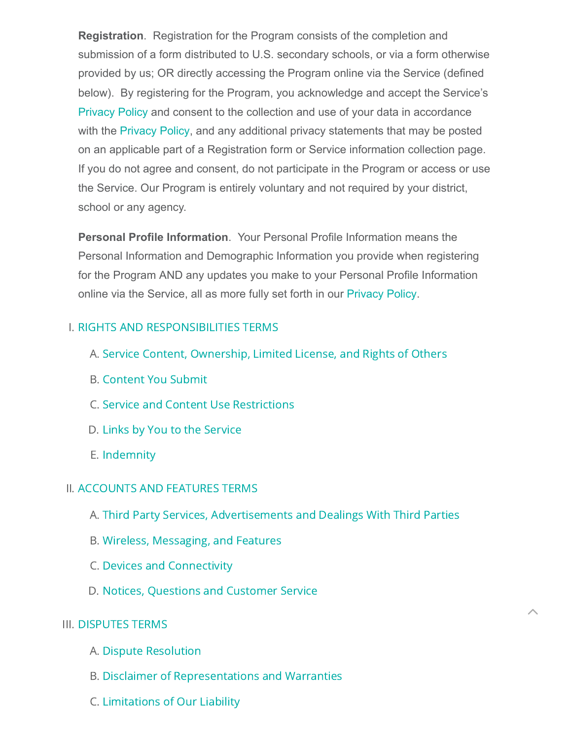**Registration**. Registration for the Program consists of the completion and submission of a form distributed to U.S. secondary schools, or via a form otherwise provided by us; OR directly accessing the Program online via the Service (defined below). By registering for the Program, you acknowledge and accept the Service's [Privacy Policy](https://myoptions.org/privacy-policy/) and consent to the collection and use of your data in accordance with the [Privacy Policy](https://myoptions.org/privacy-policy/), and any additional privacy statements that may be posted on an applicable part of a Registration form or Service information collection page. If you do not agree and consent, do not participate in the Program or access or use the Service. Our Program is entirely voluntary and not required by your district, school or any agency.

**Personal Profile Information**. Your Personal Profile Information means the Personal Information and Demographic Information you provide when registering for the Program AND any updates you make to your Personal Profile Information online via the Service, all as more fully set forth in our [Privacy Policy](https://myoptions.org/privacy-policy/).

### I. RIGHTS AND [RESPONSIBILITIES](#page-2-0) TERMS

- A. Service Content, [Ownership,](#page-2-1) Limited License, and Rights of Others
- B. [Content](#page-4-0) You Submit
- C. Service and Content Use [Restrictions](#page-5-0)
- D. Links by You to the [Service](#page-6-0)
- E. [Indemnity](#page-6-1)

### II. [ACCOUNTS](#page-7-0) AND FEATURES TERMS

A. Third Party Services, [Advertisements](#page-9-0) and Dealings With Third Parties

 $\left\| \right\|$ 

- B. Wireless, [Messaging,](#page-12-0) and Features
- C. Devices and [Connectivity](#page-14-0)
- D. Notices, [Questions](#page-15-0) and Customer Service

### III. [DISPUTES](#page-16-0) TERMS

- A. Dispute [Resolution](#page-16-1)
- B. Disclaimer of [Representations](#page-20-0) and Warranties
- C. [Limitations](#page-21-0) of Our Liability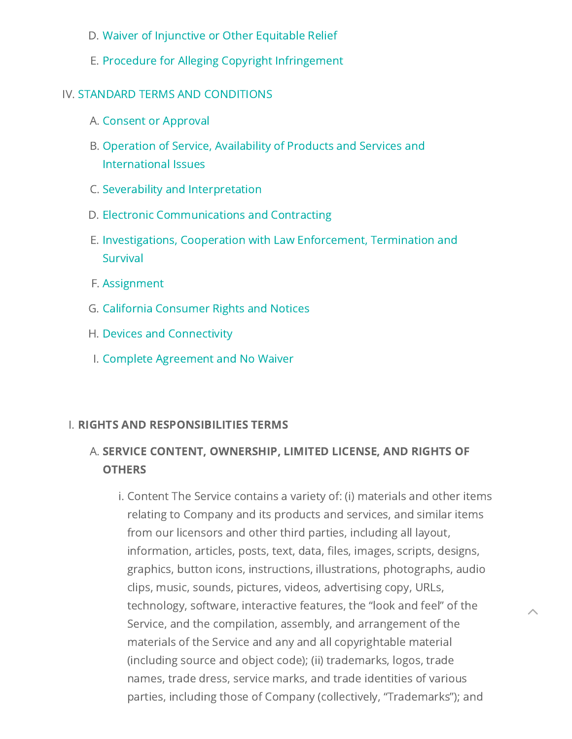- D. Waiver of [Injunctive](#page-23-0) or Other Equitable Relief
- E. Procedure for Alleging Copyright [Infringement](#page-23-1)

### IV. STANDARD TERMS AND [CONDITIONS](#page-26-0)

- A. Consent or [Approval](#page-27-0)
- B. Operation of Service, Availability of Products and Services and [International](#page-27-1) Issues
- C. Severability and [Interpretation](#page-28-0)
- D. Electronic [Communications](#page-28-1) and Contracting
- E. [Investigations,](#page-28-2) Cooperation with Law Enforcement, Termination and Survival
- F. [Assignment](#page-29-0)
- G. California [Consumer](#page-29-1) Rights and Notices
- H. Devices and [Connectivity](#page-30-0)
- I. Complete [Agreement](#page-31-0) and No Waiver

### <span id="page-2-0"></span>I. RIGHTS AND RESPONSIBILITIES TERMS

## <span id="page-2-1"></span>A. SERVICE CONTENT, OWNERSHIP, LIMITED LICENSE, AND RIGHTS OF **OTHERS**

i. Content The Service contains a variety of: (i) materials and other items relating to Company and its products and services, and similar items from our licensors and other third parties, including all layout, information, articles, posts, text, data, files, images, scripts, designs, graphics, button icons, instructions, illustrations, photographs, audio clips, music, sounds, pictures, videos, advertising copy, URLs, technology, software, interactive features, the "look and feel" of the Service, and the compilation, assembly, and arrangement of the materials of the Service and any and all copyrightable material (including source and object code); (ii) trademarks, logos, trade names, trade dress, service marks, and trade identities of various parties, including those of Company (collectively, "Trademarks"); and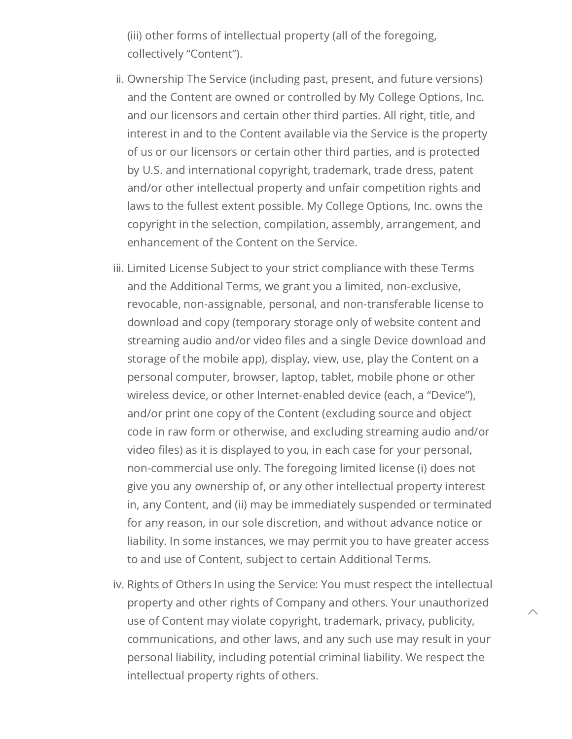(iii) other forms of intellectual property (all of the foregoing, collectively "Content").

- ii. Ownership The Service (including past, present, and future versions) and the Content are owned or controlled by My College Options, Inc. and our licensors and certain other third parties. All right, title, and interest in and to the Content available via the Service is the property of us or our licensors or certain other third parties, and is protected by U.S. and international copyright, trademark, trade dress, patent and/or other intellectual property and unfair competition rights and laws to the fullest extent possible. My College Options, Inc. owns the copyright in the selection, compilation, assembly, arrangement, and enhancement of the Content on the Service.
- iii. Limited License Subject to your strict compliance with these Terms and the Additional Terms, we grant you a limited, non-exclusive, revocable, non-assignable, personal, and non-transferable license to download and copy (temporary storage only of website content and streaming audio and/or video files and a single Device download and storage of the mobile app), display, view, use, play the Content on a personal computer, browser, laptop, tablet, mobile phone or other wireless device, or other Internet-enabled device (each, a "Device"), and/or print one copy of the Content (excluding source and object code in raw form or otherwise, and excluding streaming audio and/or video files) as it is displayed to you, in each case for your personal, non-commercial use only. The foregoing limited license (i) does not give you any ownership of, or any other intellectual property interest in, any Content, and (ii) may be immediately suspended or terminated for any reason, in our sole discretion, and without advance notice or liability. In some instances, we may permit you to have greater access to and use of Content, subject to certain Additional Terms.
- iv. Rights of Others In using the Service: You must respect the intellectual property and other rights of Company and others. Your unauthorized use of Content may violate copyright, trademark, privacy, publicity, communications, and other laws, and any such use may result in your personal liability, including potential criminal liability. We respect the intellectual property rights of others.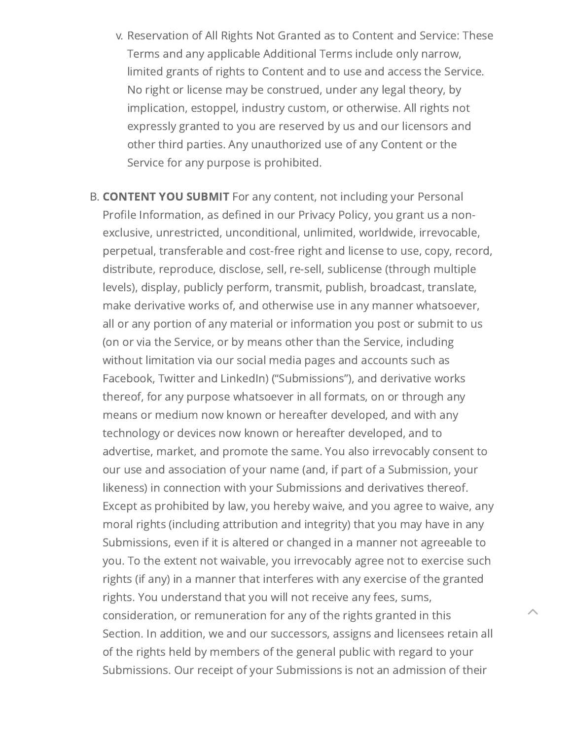- v. Reservation of All Rights Not Granted as to Content and Service: These Terms and any applicable Additional Terms include only narrow, limited grants of rights to Content and to use and access the Service. No right or license may be construed, under any legal theory, by implication, estoppel, industry custom, or otherwise. All rights not expressly granted to you are reserved by us and our licensors and other third parties. Any unauthorized use of any Content or the Service for any purpose is prohibited.
- <span id="page-4-0"></span>B. CONTENT YOU SUBMIT For any content, not including your Personal Profile Information, as defined in our Privacy Policy, you grant us a nonexclusive, unrestricted, unconditional, unlimited, worldwide, irrevocable, perpetual, transferable and cost-free right and license to use, copy, record, distribute, reproduce, disclose, sell, re-sell, sublicense (through multiple levels), display, publicly perform, transmit, publish, broadcast, translate, make derivative works of, and otherwise use in any manner whatsoever, all or any portion of any material or information you post or submit to us (on or via the Service, or by means other than the Service, including without limitation via our social media pages and accounts such as Facebook, Twitter and LinkedIn) ("Submissions"), and derivative works thereof, for any purpose whatsoever in all formats, on or through any means or medium now known or hereafter developed, and with any technology or devices now known or hereafter developed, and to advertise, market, and promote the same. You also irrevocably consent to our use and association of your name (and, if part of a Submission, your likeness) in connection with your Submissions and derivatives thereof. Except as prohibited by law, you hereby waive, and you agree to waive, any moral rights (including attribution and integrity) that you may have in any Submissions, even if it is altered or changed in a manner not agreeable to you. To the extent not waivable, you irrevocably agree not to exercise such rights (if any) in a manner that interferes with any exercise of the granted rights. You understand that you will not receive any fees, sums, consideration, or remuneration for any of the rights granted in this Section. In addition, we and our successors, assigns and licensees retain all of the rights held by members of the general public with regard to your Submissions. Our receipt of your Submissions is not an admission of their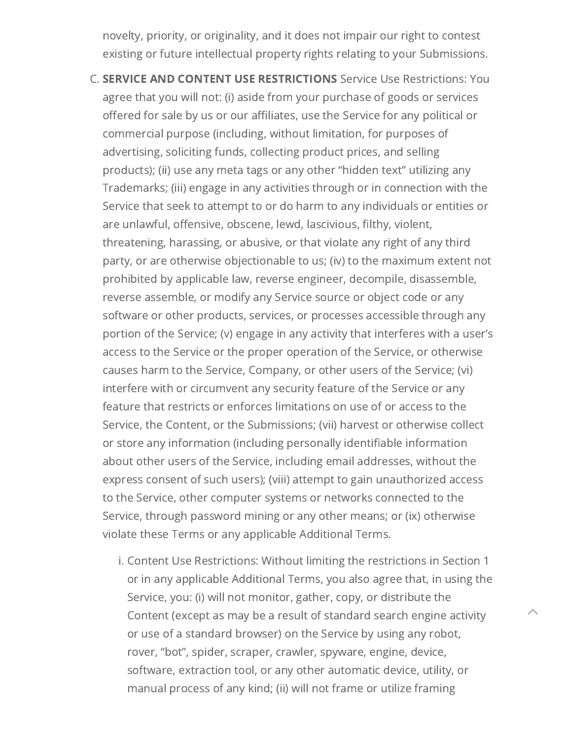novelty, priority, or originality, and it does not impair our right to contest existing or future intellectual property rights relating to your Submissions.

- <span id="page-5-0"></span>C. SERVICE AND CONTENT USE RESTRICTIONS Service Use Restrictions: You agree that you will not: (i) aside from your purchase of goods or services offered for sale by us or our affiliates, use the Service for any political or commercial purpose (including, without limitation, for purposes of advertising, soliciting funds, collecting product prices, and selling products); (ii) use any meta tags or any other "hidden text" utilizing any Trademarks; (iii) engage in any activities through or in connection with the Service that seek to attempt to or do harm to any individuals or entities or are unlawful, offensive, obscene, lewd, lascivious, filthy, violent, threatening, harassing, or abusive, or that violate any right of any third party, or are otherwise objectionable to us; (iv) to the maximum extent not prohibited by applicable law, reverse engineer, decompile, disassemble, reverse assemble, or modify any Service source or object code or any software or other products, services, or processes accessible through any portion of the Service; (v) engage in any activity that interferes with a user's access to the Service or the proper operation of the Service, or otherwise causes harm to the Service, Company, or other users of the Service; (vi) interfere with or circumvent any security feature of the Service or any feature that restricts or enforces limitations on use of or access to the Service, the Content, or the Submissions; (vii) harvest or otherwise collect or store any information (including personally identifiable information about other users of the Service, including email addresses, without the express consent of such users); (viii) attempt to gain unauthorized access to the Service, other computer systems or networks connected to the Service, through password mining or any other means; or (ix) otherwise violate these Terms or any applicable Additional Terms.
	- i. Content Use Restrictions: Without limiting the restrictions in Section 1 or in any applicable Additional Terms, you also agree that, in using the Service, you: (i) will not monitor, gather, copy, or distribute the Content (except as may be a result of standard search engine activity or use of a standard browser) on the Service by using any robot, rover, "bot", spider, scraper, crawler, spyware, engine, device, software, extraction tool, or any other automatic device, utility, or manual process of any kind; (ii) will not frame or utilize framing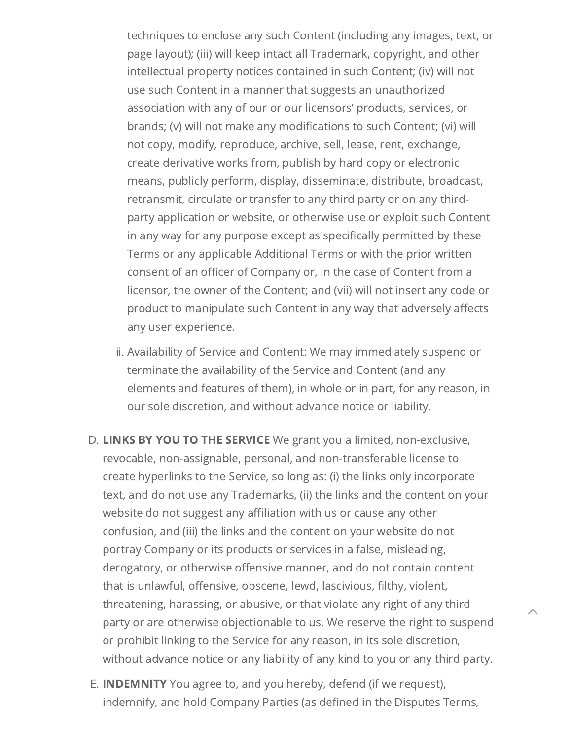techniques to enclose any such Content (including any images, text, or page layout); (iii) will keep intact all Trademark, copyright, and other intellectual property notices contained in such Content; (iv) will not use such Content in a manner that suggests an unauthorized association with any of our or our licensors' products, services, or brands; (v) will not make any modifications to such Content; (vi) will not copy, modify, reproduce, archive, sell, lease, rent, exchange, create derivative works from, publish by hard copy or electronic means, publicly perform, display, disseminate, distribute, broadcast, retransmit, circulate or transfer to any third party or on any thirdparty application or website, or otherwise use or exploit such Content in any way for any purpose except as specifically permitted by these Terms or any applicable Additional Terms or with the prior written consent of an officer of Company or, in the case of Content from a licensor, the owner of the Content; and (vii) will not insert any code or product to manipulate such Content in any way that adversely affects any user experience.

- ii. Availability of Service and Content: We may immediately suspend or terminate the availability of the Service and Content (and any elements and features of them), in whole or in part, for any reason, in our sole discretion, and without advance notice or liability.
- <span id="page-6-0"></span>D. LINKS BY YOU TO THE SERVICE We grant you a limited, non-exclusive, revocable, non-assignable, personal, and non-transferable license to create hyperlinks to the Service, so long as: (i) the links only incorporate text, and do not use any Trademarks, (ii) the links and the content on your website do not suggest any affiliation with us or cause any other confusion, and (iii) the links and the content on your website do not portray Company or its products or services in a false, misleading, derogatory, or otherwise offensive manner, and do not contain content that is unlawful, offensive, obscene, lewd, lascivious, filthy, violent, threatening, harassing, or abusive, or that violate any right of any third party or are otherwise objectionable to us. We reserve the right to suspend or prohibit linking to the Service for any reason, in its sole discretion, without advance notice or any liability of any kind to you or any third party.

 $\left\| \right\|$ 

<span id="page-6-1"></span>E. **INDEMNITY** You agree to, and you hereby, defend (if we request), indemnify, and hold Company Parties (as defined in the Disputes Terms,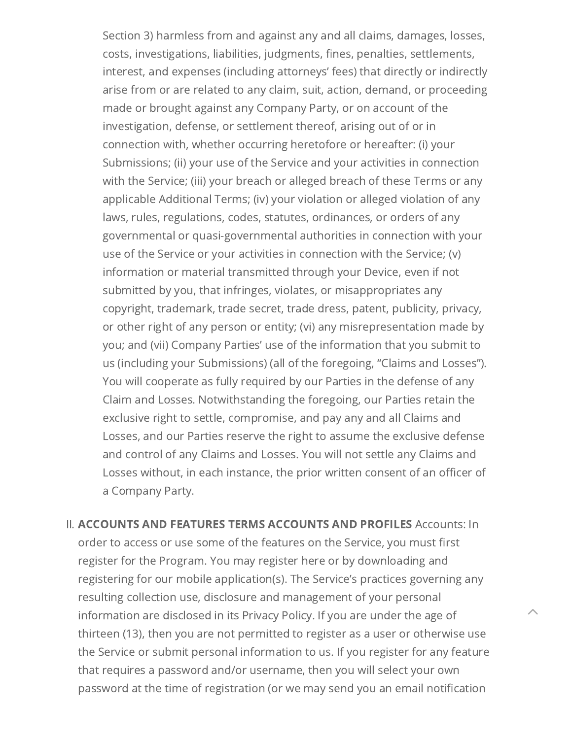Section 3) harmless from and against any and all claims, damages, losses, costs, investigations, liabilities, judgments, fines, penalties, settlements, interest, and expenses (including attorneys' fees) that directly or indirectly arise from or are related to any claim, suit, action, demand, or proceeding made or brought against any Company Party, or on account of the investigation, defense, or settlement thereof, arising out of or in connection with, whether occurring heretofore or hereafter: (i) your Submissions; (ii) your use of the Service and your activities in connection with the Service; (iii) your breach or alleged breach of these Terms or any applicable Additional Terms; (iv) your violation or alleged violation of any laws, rules, regulations, codes, statutes, ordinances, or orders of any governmental or quasi-governmental authorities in connection with your use of the Service or your activities in connection with the Service; (v) information or material transmitted through your Device, even if not submitted by you, that infringes, violates, or misappropriates any copyright, trademark, trade secret, trade dress, patent, publicity, privacy, or other right of any person or entity; (vi) any misrepresentation made by you; and (vii) Company Parties' use of the information that you submit to us (including your Submissions) (all of the foregoing, "Claims and Losses"). You will cooperate as fully required by our Parties in the defense of any Claim and Losses. Notwithstanding the foregoing, our Parties retain the exclusive right to settle, compromise, and pay any and all Claims and Losses, and our Parties reserve the right to assume the exclusive defense and control of any Claims and Losses. You will not settle any Claims and Losses without, in each instance, the prior written consent of an officer of a Company Party.

<span id="page-7-0"></span>II. ACCOUNTS AND FEATURES TERMS ACCOUNTS AND PROFILES Accounts: In order to access or use some of the features on the Service, you must first register for the Program. You may register here or by downloading and registering for our mobile application(s). The Service's practices governing any resulting collection use, disclosure and management of your personal information are disclosed in its Privacy Policy. If you are under the age of thirteen (13), then you are not permitted to register as a user or otherwise use the Service or submit personal information to us. If you register for any feature that requires a password and/or username, then you will select your own password at the time of registration (or we may send you an email notification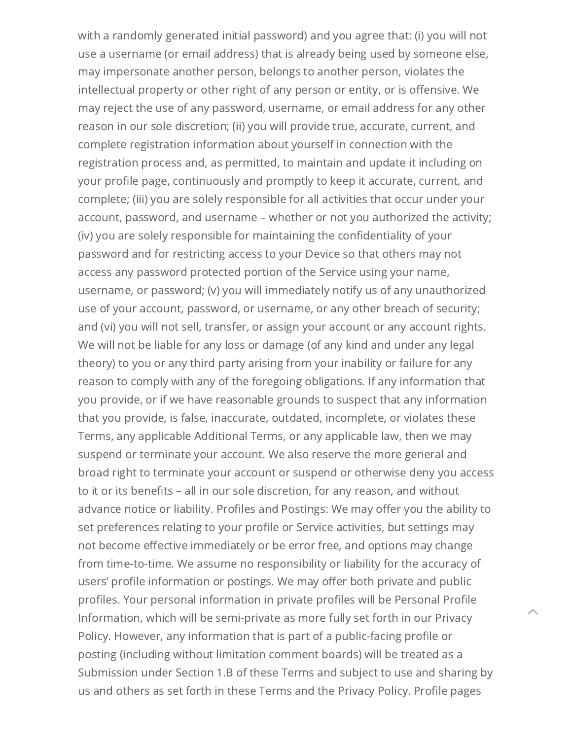with a randomly generated initial password) and you agree that: (i) you will not use a username (or email address) that is already being used by someone else, may impersonate another person, belongs to another person, violates the intellectual property or other right of any person or entity, or is offensive. We may reject the use of any password, username, or email address for any other reason in our sole discretion; (ii) you will provide true, accurate, current, and complete registration information about yourself in connection with the registration process and, as permitted, to maintain and update it including on your profile page, continuously and promptly to keep it accurate, current, and complete; (iii) you are solely responsible for all activities that occur under your account, password, and username – whether or not you authorized the activity; (iv) you are solely responsible for maintaining the confidentiality of your password and for restricting access to your Device so that others may not access any password protected portion of the Service using your name, username, or password; (v) you will immediately notify us of any unauthorized use of your account, password, or username, or any other breach of security; and (vi) you will not sell, transfer, or assign your account or any account rights. We will not be liable for any loss or damage (of any kind and under any legal theory) to you or any third party arising from your inability or failure for any reason to comply with any of the foregoing obligations. If any information that you provide, or if we have reasonable grounds to suspect that any information that you provide, is false, inaccurate, outdated, incomplete, or violates these Terms, any applicable Additional Terms, or any applicable law, then we may suspend or terminate your account. We also reserve the more general and broad right to terminate your account or suspend or otherwise deny you access to it or its benefits – all in our sole discretion, for any reason, and without advance notice or liability. Profiles and Postings: We may offer you the ability to set preferences relating to your profile or Service activities, but settings may not become effective immediately or be error free, and options may change from time-to-time. We assume no responsibility or liability for the accuracy of users' profile information or postings. We may offer both private and public profiles. Your personal information in private profiles will be Personal Profile Information, which will be semi-private as more fully set forth in our Privacy Policy. However, any information that is part of a public-facing profile or posting (including without limitation comment boards) will be treated as a Submission under Section 1.B of these Terms and subject to use and sharing by us and others as set forth in these Terms and the Privacy Policy. Profile pages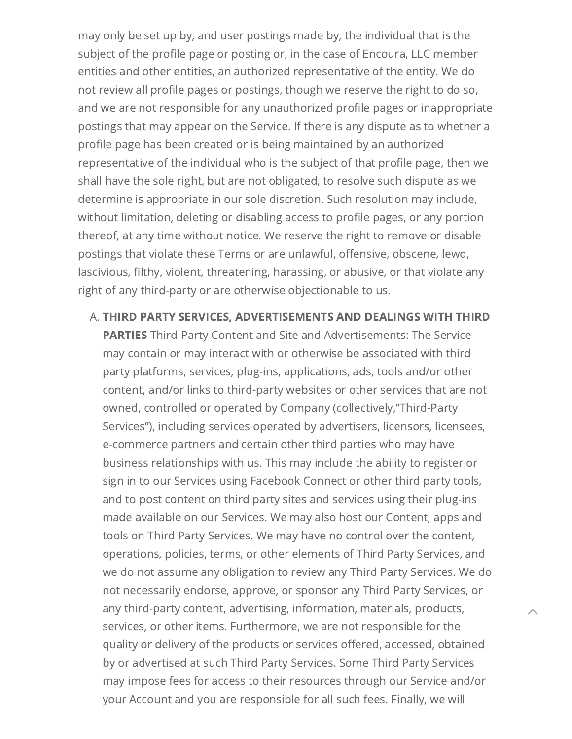may only be set up by, and user postings made by, the individual that is the subject of the profile page or posting or, in the case of Encoura, LLC member entities and other entities, an authorized representative of the entity. We do not review all profile pages or postings, though we reserve the right to do so, and we are not responsible for any unauthorized profile pages or inappropriate postings that may appear on the Service. If there is any dispute as to whether a profile page has been created or is being maintained by an authorized representative of the individual who is the subject of that profile page, then we shall have the sole right, but are not obligated, to resolve such dispute as we determine is appropriate in our sole discretion. Such resolution may include, without limitation, deleting or disabling access to profile pages, or any portion thereof, at any time without notice. We reserve the right to remove or disable postings that violate these Terms or are unlawful, offensive, obscene, lewd, lascivious, filthy, violent, threatening, harassing, or abusive, or that violate any right of any third-party or are otherwise objectionable to us.

<span id="page-9-0"></span>A. THIRD PARTY SERVICES, ADVERTISEMENTS AND DEALINGS WITH THIRD

**PARTIES** Third-Party Content and Site and Advertisements: The Service may contain or may interact with or otherwise be associated with third party platforms, services, plug-ins, applications, ads, tools and/or other content, and/or links to third-party websites or other services that are not owned, controlled or operated by Company (collectively,"Third-Party Services"), including services operated by advertisers, licensors, licensees, e-commerce partners and certain other third parties who may have business relationships with us. This may include the ability to register or sign in to our Services using Facebook Connect or other third party tools, and to post content on third party sites and services using their plug-ins made available on our Services. We may also host our Content, apps and tools on Third Party Services. We may have no control over the content, operations, policies, terms, or other elements of Third Party Services, and we do not assume any obligation to review any Third Party Services. We do not necessarily endorse, approve, or sponsor any Third Party Services, or any third-party content, advertising, information, materials, products, services, or other items. Furthermore, we are not responsible for the quality or delivery of the products or services offered, accessed, obtained by or advertised at such Third Party Services. Some Third Party Services may impose fees for access to their resources through our Service and/or your Account and you are responsible for all such fees. Finally, we will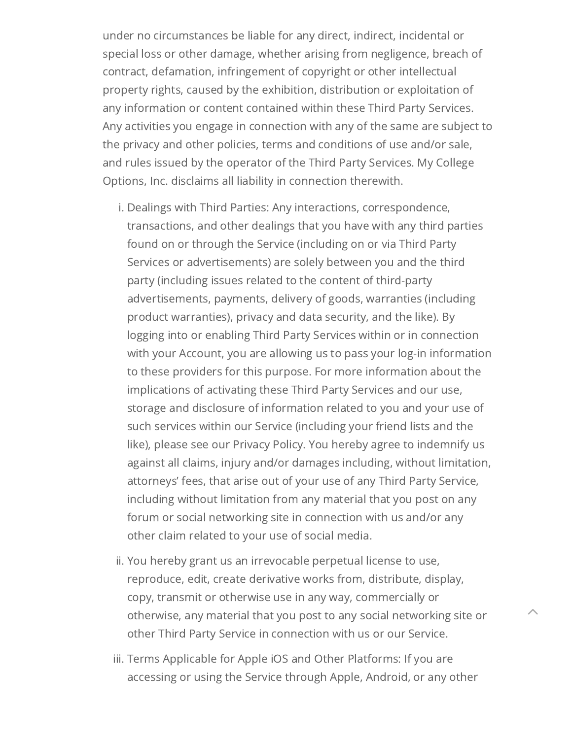under no circumstances be liable for any direct, indirect, incidental or special loss or other damage, whether arising from negligence, breach of contract, defamation, infringement of copyright or other intellectual property rights, caused by the exhibition, distribution or exploitation of any information or content contained within these Third Party Services. Any activities you engage in connection with any of the same are subject to the privacy and other policies, terms and conditions of use and/or sale, and rules issued by the operator of the Third Party Services. My College Options, Inc. disclaims all liability in connection therewith.

- i. Dealings with Third Parties: Any interactions, correspondence, transactions, and other dealings that you have with any third parties found on or through the Service (including on or via Third Party Services or advertisements) are solely between you and the third party (including issues related to the content of third-party advertisements, payments, delivery of goods, warranties (including product warranties), privacy and data security, and the like). By logging into or enabling Third Party Services within or in connection with your Account, you are allowing us to pass your log-in information to these providers for this purpose. For more information about the implications of activating these Third Party Services and our use, storage and disclosure of information related to you and your use of such services within our Service (including your friend lists and the like), please see our Privacy Policy. You hereby agree to indemnify us against all claims, injury and/or damages including, without limitation, attorneys' fees, that arise out of your use of any Third Party Service, including without limitation from any material that you post on any forum or social networking site in connection with us and/or any other claim related to your use of social media.
- ii. You hereby grant us an irrevocable perpetual license to use, reproduce, edit, create derivative works from, distribute, display, copy, transmit or otherwise use in any way, commercially or otherwise, any material that you post to any social networking site or other Third Party Service in connection with us or our Service.

 $\left\| \right\|$ 

iii. Terms Applicable for Apple iOS and Other Platforms: If you are accessing or using the Service through Apple, Android, or any other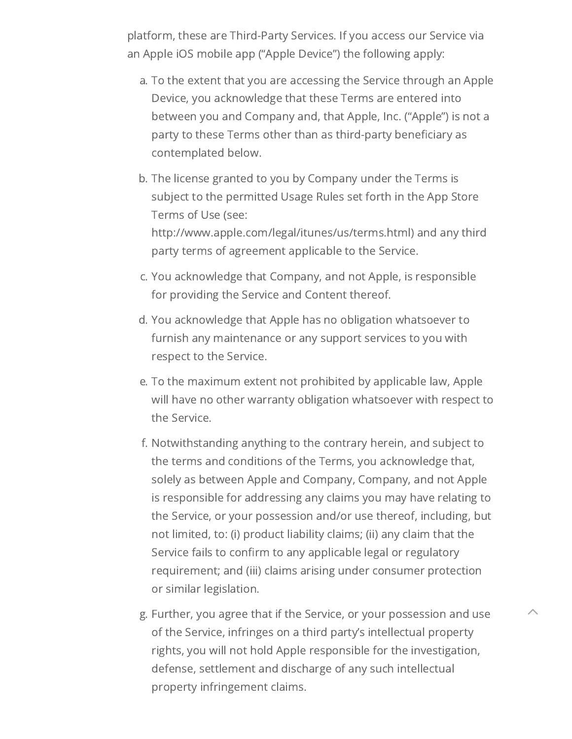platform, these are Third-Party Services. If you access our Service via an Apple iOS mobile app ("Apple Device") the following apply:

- a. To the extent that you are accessing the Service through an Apple Device, you acknowledge that these Terms are entered into between you and Company and, that Apple, Inc. ("Apple") is not a party to these Terms other than as third-party beneficiary as contemplated below.
- b. The license granted to you by Company under the Terms is subject to the permitted Usage Rules set forth in the App Store Terms of Use (see: http://www.apple.com/legal/itunes/us/terms.html) and any third party terms of agreement applicable to the Service.
- c. You acknowledge that Company, and not Apple, is responsible for providing the Service and Content thereof.
- d. You acknowledge that Apple has no obligation whatsoever to furnish any maintenance or any support services to you with respect to the Service.
- e. To the maximum extent not prohibited by applicable law, Apple will have no other warranty obligation whatsoever with respect to the Service.
- f. Notwithstanding anything to the contrary herein, and subject to the terms and conditions of the Terms, you acknowledge that, solely as between Apple and Company, Company, and not Apple is responsible for addressing any claims you may have relating to the Service, or your possession and/or use thereof, including, but not limited, to: (i) product liability claims; (ii) any claim that the Service fails to confirm to any applicable legal or regulatory requirement; and (iii) claims arising under consumer protection or similar legislation.
- g. Further, you agree that if the Service, or your possession and use of the Service, infringes on a third party's intellectual property rights, you will not hold Apple responsible for the investigation, defense, settlement and discharge of any such intellectual property infringement claims.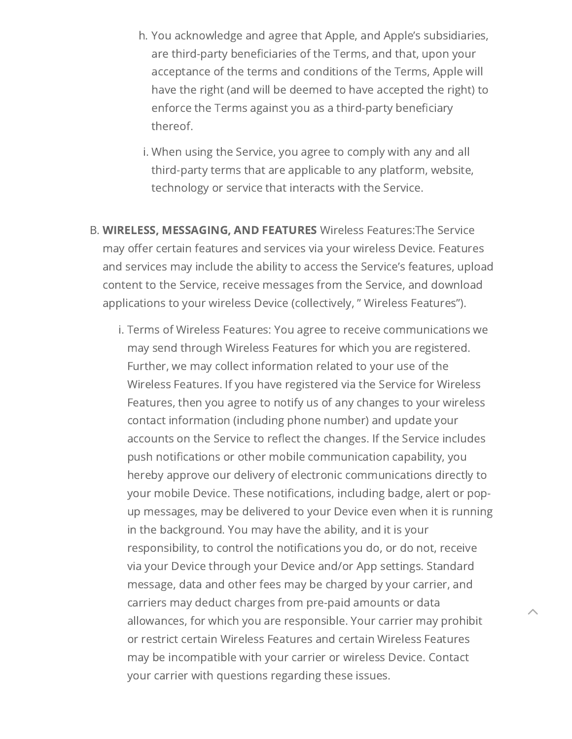- h. You acknowledge and agree that Apple, and Apple's subsidiaries, are third-party beneficiaries of the Terms, and that, upon your acceptance of the terms and conditions of the Terms, Apple will have the right (and will be deemed to have accepted the right) to enforce the Terms against you as a third-party beneficiary thereof.
- i. When using the Service, you agree to comply with any and all third-party terms that are applicable to any platform, website, technology or service that interacts with the Service.
- <span id="page-12-0"></span>B. WIRELESS, MESSAGING, AND FEATURES Wireless Features:The Service may offer certain features and services via your wireless Device. Features and services may include the ability to access the Service's features, upload content to the Service, receive messages from the Service, and download applications to your wireless Device (collectively, " Wireless Features").
	- i. Terms of Wireless Features: You agree to receive communications we may send through Wireless Features for which you are registered. Further, we may collect information related to your use of the Wireless Features. If you have registered via the Service for Wireless Features, then you agree to notify us of any changes to your wireless contact information (including phone number) and update your accounts on the Service to reflect the changes. If the Service includes push notifications or other mobile communication capability, you hereby approve our delivery of electronic communications directly to your mobile Device. These notifications, including badge, alert or popup messages, may be delivered to your Device even when it is running in the background. You may have the ability, and it is your responsibility, to control the notifications you do, or do not, receive via your Device through your Device and/or App settings. Standard message, data and other fees may be charged by your carrier, and carriers may deduct charges from pre-paid amounts or data allowances, for which you are responsible. Your carrier may prohibit or restrict certain Wireless Features and certain Wireless Features may be incompatible with your carrier or wireless Device. Contact your carrier with questions regarding these issues.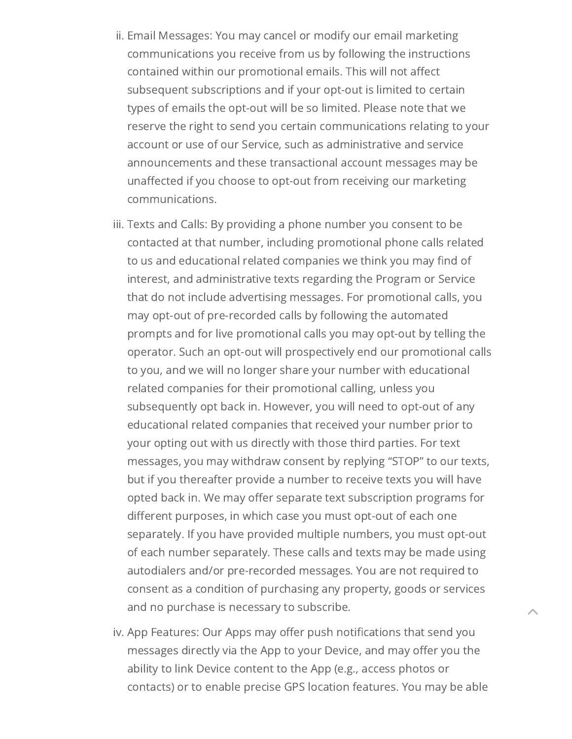- ii. Email Messages: You may cancel or modify our email marketing communications you receive from us by following the instructions contained within our promotional emails. This will not affect subsequent subscriptions and if your opt-out is limited to certain types of emails the opt-out will be so limited. Please note that we reserve the right to send you certain communications relating to your account or use of our Service, such as administrative and service announcements and these transactional account messages may be unaffected if you choose to opt-out from receiving our marketing communications.
- iii. Texts and Calls: By providing a phone number you consent to be contacted at that number, including promotional phone calls related to us and educational related companies we think you may find of interest, and administrative texts regarding the Program or Service that do not include advertising messages. For promotional calls, you may opt-out of pre-recorded calls by following the automated prompts and for live promotional calls you may opt-out by telling the operator. Such an opt-out will prospectively end our promotional calls to you, and we will no longer share your number with educational related companies for their promotional calling, unless you subsequently opt back in. However, you will need to opt-out of any educational related companies that received your number prior to your opting out with us directly with those third parties. For text messages, you may withdraw consent by replying "STOP" to our texts, but if you thereafter provide a number to receive texts you will have opted back in. We may offer separate text subscription programs for different purposes, in which case you must opt-out of each one separately. If you have provided multiple numbers, you must opt-out of each number separately. These calls and texts may be made using autodialers and/or pre-recorded messages. You are not required to consent as a condition of purchasing any property, goods or services and no purchase is necessary to subscribe.
- iv. App Features: Our Apps may offer push notifications that send you messages directly via the App to your Device, and may offer you the ability to link Device content to the App (e.g., access photos or contacts) or to enable precise GPS location features. You may be able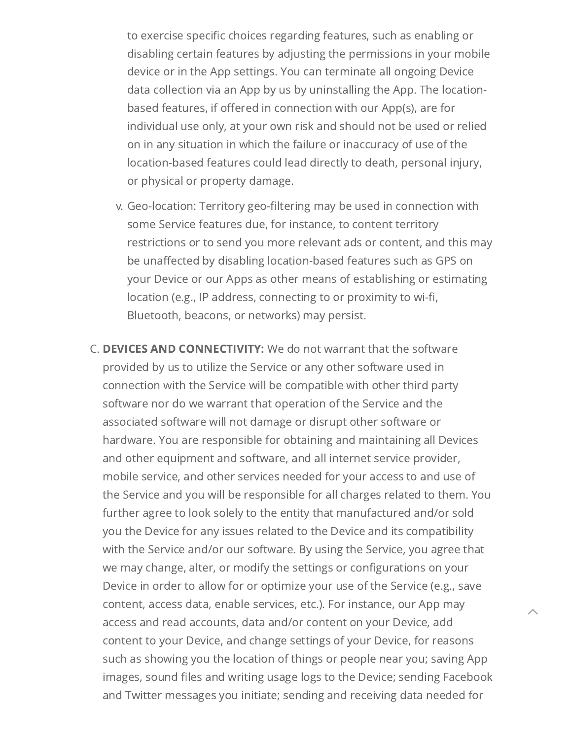to exercise specific choices regarding features, such as enabling or disabling certain features by adjusting the permissions in your mobile device or in the App settings. You can terminate all ongoing Device data collection via an App by us by uninstalling the App. The locationbased features, if offered in connection with our App(s), are for individual use only, at your own risk and should not be used or relied on in any situation in which the failure or inaccuracy of use of the location-based features could lead directly to death, personal injury, or physical or property damage.

- v. Geo-location: Territory geo-filtering may be used in connection with some Service features due, for instance, to content territory restrictions or to send you more relevant ads or content, and this may be unaffected by disabling location-based features such as GPS on your Device or our Apps as other means of establishing or estimating location (e.g., IP address, connecting to or proximity to wi-fi, Bluetooth, beacons, or networks) may persist.
- <span id="page-14-0"></span>C. DEVICES AND CONNECTIVITY: We do not warrant that the software provided by us to utilize the Service or any other software used in connection with the Service will be compatible with other third party software nor do we warrant that operation of the Service and the associated software will not damage or disrupt other software or hardware. You are responsible for obtaining and maintaining all Devices and other equipment and software, and all internet service provider, mobile service, and other services needed for your access to and use of the Service and you will be responsible for all charges related to them. You further agree to look solely to the entity that manufactured and/or sold you the Device for any issues related to the Device and its compatibility with the Service and/or our software. By using the Service, you agree that we may change, alter, or modify the settings or configurations on your Device in order to allow for or optimize your use of the Service (e.g., save content, access data, enable services, etc.). For instance, our App may access and read accounts, data and/or content on your Device, add content to your Device, and change settings of your Device, for reasons such as showing you the location of things or people near you; saving App images, sound files and writing usage logs to the Device; sending Facebook and Twitter messages you initiate; sending and receiving data needed for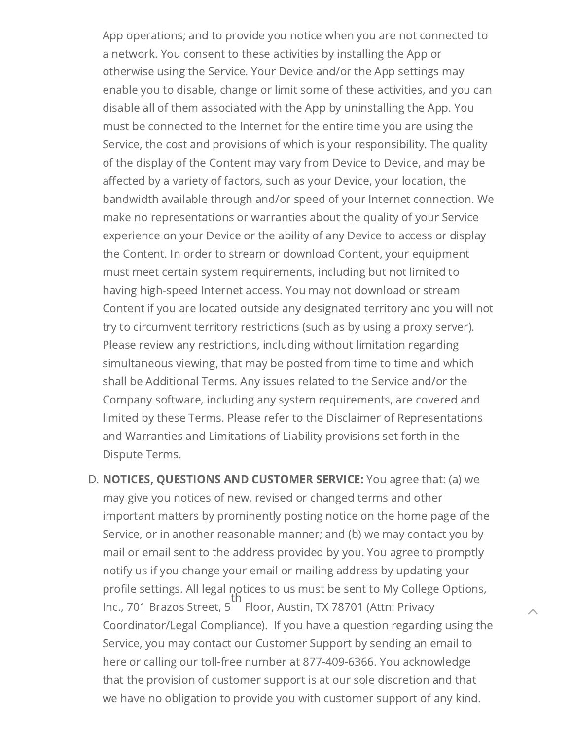App operations; and to provide you notice when you are not connected to a network. You consent to these activities by installing the App or otherwise using the Service. Your Device and/or the App settings may enable you to disable, change or limit some of these activities, and you can disable all of them associated with the App by uninstalling the App. You must be connected to the Internet for the entire time you are using the Service, the cost and provisions of which is your responsibility. The quality of the display of the Content may vary from Device to Device, and may be affected by a variety of factors, such as your Device, your location, the bandwidth available through and/or speed of your Internet connection. We make no representations or warranties about the quality of your Service experience on your Device or the ability of any Device to access or display the Content. In order to stream or download Content, your equipment must meet certain system requirements, including but not limited to having high-speed Internet access. You may not download or stream Content if you are located outside any designated territory and you will not try to circumvent territory restrictions (such as by using a proxy server). Please review any restrictions, including without limitation regarding simultaneous viewing, that may be posted from time to time and which shall be Additional Terms. Any issues related to the Service and/or the Company software, including any system requirements, are covered and limited by these Terms. Please refer to the Disclaimer of Representations and Warranties and Limitations of Liability provisions set forth in the Dispute Terms.

<span id="page-15-0"></span>D. NOTICES, QUESTIONS AND CUSTOMER SERVICE: You agree that: (a) we may give you notices of new, revised or changed terms and other important matters by prominently posting notice on the home page of the Service, or in another reasonable manner; and (b) we may contact you by mail or email sent to the address provided by you. You agree to promptly notify us if you change your email or mailing address by updating your profile settings. All legal notices to us must be sent to My College Options, Inc., 701 Brazos Street, 5 Floor, Austin, TX 78701 (Attn: Privacy Coordinator/Legal Compliance). If you have a question regarding using the Service, you may contact our Customer Support by sending an email to here or calling our toll-free number at 877-409-6366. You acknowledge that the provision of customer support is at our sole discretion and that we have no obligation to provide you with customer support of any kind. th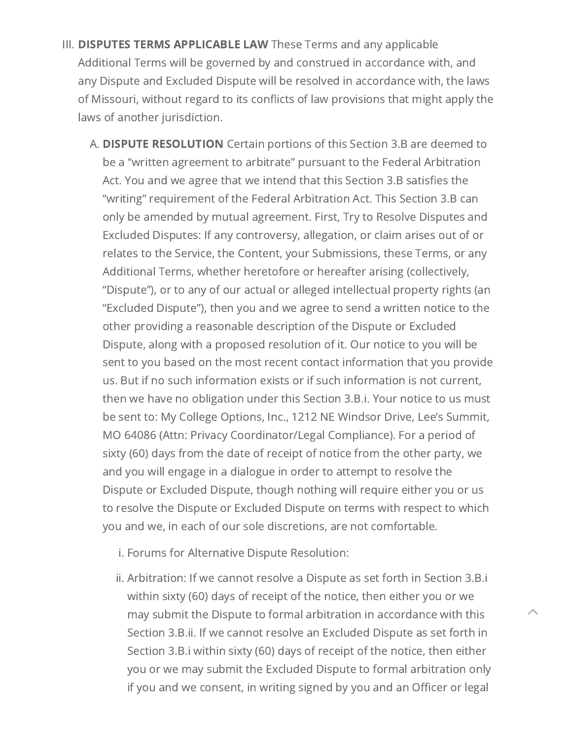- <span id="page-16-1"></span><span id="page-16-0"></span>III. DISPUTES TERMS APPLICABLE LAW These Terms and any applicable Additional Terms will be governed by and construed in accordance with, and any Dispute and Excluded Dispute will be resolved in accordance with, the laws of Missouri, without regard to its conflicts of law provisions that might apply the laws of another jurisdiction.
	- A. DISPUTE RESOLUTION Certain portions of this Section 3.B are deemed to be a "written agreement to arbitrate" pursuant to the Federal Arbitration Act. You and we agree that we intend that this Section 3.B satisfies the "writing" requirement of the Federal Arbitration Act. This Section 3.B can only be amended by mutual agreement. First, Try to Resolve Disputes and Excluded Disputes: If any controversy, allegation, or claim arises out of or relates to the Service, the Content, your Submissions, these Terms, or any Additional Terms, whether heretofore or hereafter arising (collectively, "Dispute"), or to any of our actual or alleged intellectual property rights (an "Excluded Dispute"), then you and we agree to send a written notice to the other providing a reasonable description of the Dispute or Excluded Dispute, along with a proposed resolution of it. Our notice to you will be sent to you based on the most recent contact information that you provide us. But if no such information exists or if such information is not current, then we have no obligation under this Section 3.B.i. Your notice to us must be sent to: My College Options, Inc., 1212 NE Windsor Drive, Lee's Summit, MO 64086 (Attn: Privacy Coordinator/Legal Compliance). For a period of sixty (60) days from the date of receipt of notice from the other party, we and you will engage in a dialogue in order to attempt to resolve the Dispute or Excluded Dispute, though nothing will require either you or us to resolve the Dispute or Excluded Dispute on terms with respect to which you and we, in each of our sole discretions, are not comfortable.
		- i. Forums for Alternative Dispute Resolution:
		- ii. Arbitration: If we cannot resolve a Dispute as set forth in Section 3.B.i within sixty (60) days of receipt of the notice, then either you or we may submit the Dispute to formal arbitration in accordance with this Section 3.B.ii. If we cannot resolve an Excluded Dispute as set forth in Section 3.B.i within sixty (60) days of receipt of the notice, then either you or we may submit the Excluded Dispute to formal arbitration only if you and we consent, in writing signed by you and an Officer or legal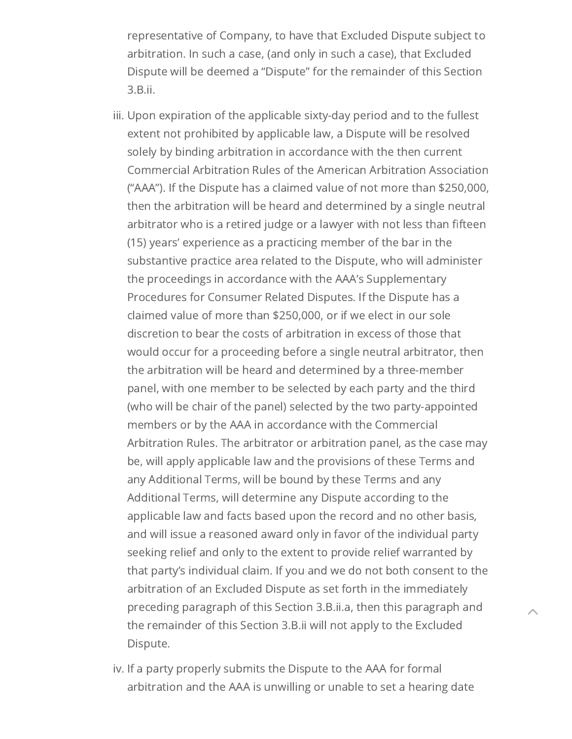representative of Company, to have that Excluded Dispute subject to arbitration. In such a case, (and only in such a case), that Excluded Dispute will be deemed a "Dispute" for the remainder of this Section 3.B.ii.

- iii. Upon expiration of the applicable sixty-day period and to the fullest extent not prohibited by applicable law, a Dispute will be resolved solely by binding arbitration in accordance with the then current Commercial Arbitration Rules of the American Arbitration Association ("AAA"). If the Dispute has a claimed value of not more than \$250,000, then the arbitration will be heard and determined by a single neutral arbitrator who is a retired judge or a lawyer with not less than fifteen (15) years' experience as a practicing member of the bar in the substantive practice area related to the Dispute, who will administer the proceedings in accordance with the AAA's Supplementary Procedures for Consumer Related Disputes. If the Dispute has a claimed value of more than \$250,000, or if we elect in our sole discretion to bear the costs of arbitration in excess of those that would occur for a proceeding before a single neutral arbitrator, then the arbitration will be heard and determined by a three-member panel, with one member to be selected by each party and the third (who will be chair of the panel) selected by the two party-appointed members or by the AAA in accordance with the Commercial Arbitration Rules. The arbitrator or arbitration panel, as the case may be, will apply applicable law and the provisions of these Terms and any Additional Terms, will be bound by these Terms and any Additional Terms, will determine any Dispute according to the applicable law and facts based upon the record and no other basis, and will issue a reasoned award only in favor of the individual party seeking relief and only to the extent to provide relief warranted by that party's individual claim. If you and we do not both consent to the arbitration of an Excluded Dispute as set forth in the immediately preceding paragraph of this Section 3.B.ii.a, then this paragraph and the remainder of this Section 3.B.ii will not apply to the Excluded Dispute.
- iv. If a party properly submits the Dispute to the AAA for formal arbitration and the AAA is unwilling or unable to set a hearing date
- $\lambda$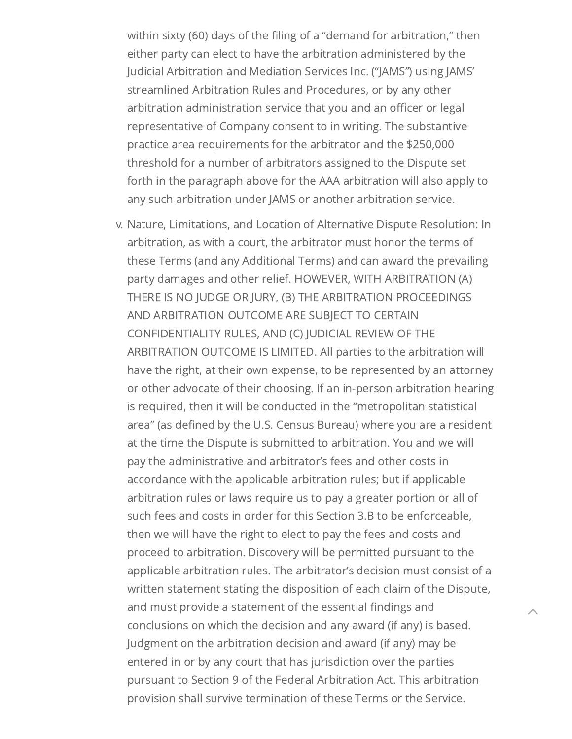within sixty (60) days of the filing of a "demand for arbitration," then either party can elect to have the arbitration administered by the Judicial Arbitration and Mediation Services Inc. ("JAMS") using JAMS' streamlined Arbitration Rules and Procedures, or by any other arbitration administration service that you and an officer or legal representative of Company consent to in writing. The substantive practice area requirements for the arbitrator and the \$250,000 threshold for a number of arbitrators assigned to the Dispute set forth in the paragraph above for the AAA arbitration will also apply to any such arbitration under JAMS or another arbitration service.

v. Nature, Limitations, and Location of Alternative Dispute Resolution: In arbitration, as with a court, the arbitrator must honor the terms of these Terms (and any Additional Terms) and can award the prevailing party damages and other relief. HOWEVER, WITH ARBITRATION (A) THERE IS NO JUDGE OR JURY, (B) THE ARBITRATION PROCEEDINGS AND ARBITRATION OUTCOME ARE SUBJECT TO CERTAIN CONFIDENTIALITY RULES, AND (C) JUDICIAL REVIEW OF THE ARBITRATION OUTCOME IS LIMITED. All parties to the arbitration will have the right, at their own expense, to be represented by an attorney or other advocate of their choosing. If an in-person arbitration hearing is required, then it will be conducted in the "metropolitan statistical area" (as defined by the U.S. Census Bureau) where you are a resident at the time the Dispute is submitted to arbitration. You and we will pay the administrative and arbitrator's fees and other costs in accordance with the applicable arbitration rules; but if applicable arbitration rules or laws require us to pay a greater portion or all of such fees and costs in order for this Section 3.B to be enforceable, then we will have the right to elect to pay the fees and costs and proceed to arbitration. Discovery will be permitted pursuant to the applicable arbitration rules. The arbitrator's decision must consist of a written statement stating the disposition of each claim of the Dispute, and must provide a statement of the essential findings and conclusions on which the decision and any award (if any) is based. Judgment on the arbitration decision and award (if any) may be entered in or by any court that has jurisdiction over the parties pursuant to Section 9 of the Federal Arbitration Act. This arbitration provision shall survive termination of these Terms or the Service.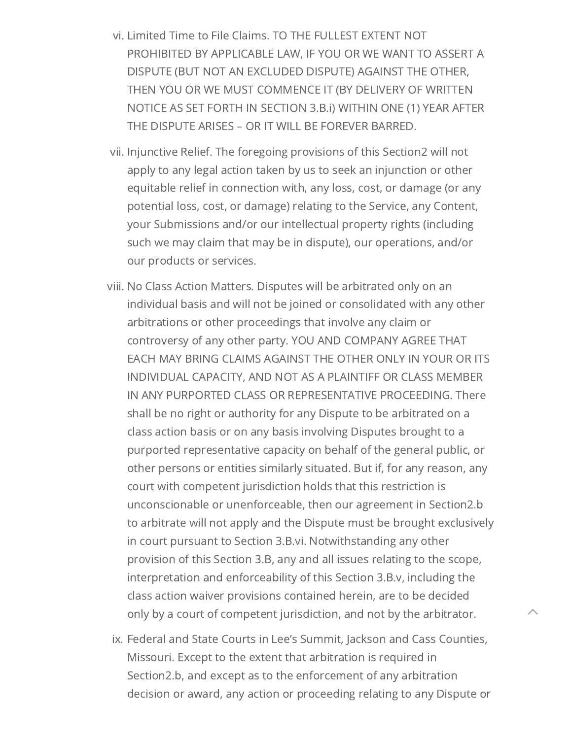- vi. Limited Time to File Claims. TO THE FULLEST EXTENT NOT PROHIBITED BY APPLICABLE LAW, IF YOU OR WE WANT TO ASSERT A DISPUTE (BUT NOT AN EXCLUDED DISPUTE) AGAINST THE OTHER, THEN YOU OR WE MUST COMMENCE IT (BY DELIVERY OF WRITTEN NOTICE AS SET FORTH IN SECTION 3.B.i) WITHIN ONE (1) YEAR AFTER THE DISPUTE ARISES – OR IT WILL BE FOREVER BARRED.
- vii. Injunctive Relief. The foregoing provisions of this Section2 will not apply to any legal action taken by us to seek an injunction or other equitable relief in connection with, any loss, cost, or damage (or any potential loss, cost, or damage) relating to the Service, any Content, your Submissions and/or our intellectual property rights (including such we may claim that may be in dispute), our operations, and/or our products or services.
- viii. No Class Action Matters. Disputes will be arbitrated only on an individual basis and will not be joined or consolidated with any other arbitrations or other proceedings that involve any claim or controversy of any other party. YOU AND COMPANY AGREE THAT EACH MAY BRING CLAIMS AGAINST THE OTHER ONLY IN YOUR OR ITS INDIVIDUAL CAPACITY, AND NOT AS A PLAINTIFF OR CLASS MEMBER IN ANY PURPORTED CLASS OR REPRESENTATIVE PROCEEDING. There shall be no right or authority for any Dispute to be arbitrated on a class action basis or on any basis involving Disputes brought to a purported representative capacity on behalf of the general public, or other persons or entities similarly situated. But if, for any reason, any court with competent jurisdiction holds that this restriction is unconscionable or unenforceable, then our agreement in Section2.b to arbitrate will not apply and the Dispute must be brought exclusively in court pursuant to Section 3.B.vi. Notwithstanding any other provision of this Section 3.B, any and all issues relating to the scope, interpretation and enforceability of this Section 3.B.v, including the class action waiver provisions contained herein, are to be decided only by a court of competent jurisdiction, and not by the arbitrator.
- ix. Federal and State Courts in Lee's Summit, Jackson and Cass Counties, Missouri. Except to the extent that arbitration is required in Section2.b, and except as to the enforcement of any arbitration decision or award, any action or proceeding relating to any Dispute or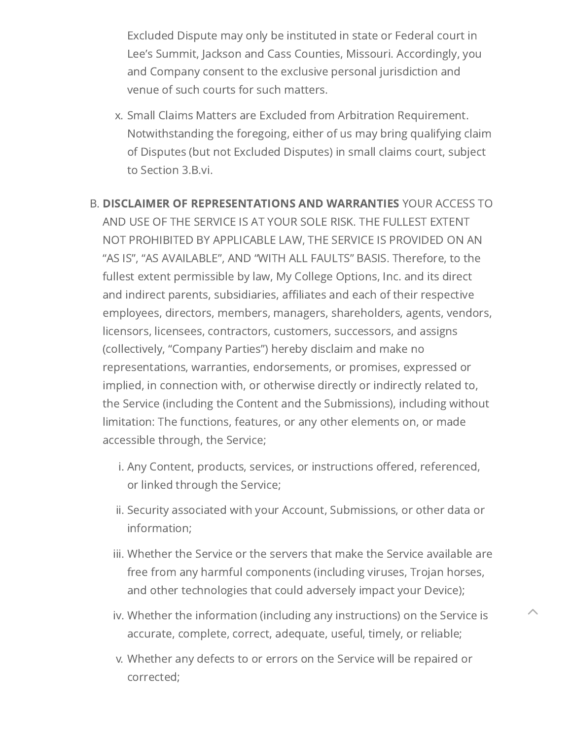Excluded Dispute may only be instituted in state or Federal court in Lee's Summit, Jackson and Cass Counties, Missouri. Accordingly, you and Company consent to the exclusive personal jurisdiction and venue of such courts for such matters.

x. Small Claims Matters are Excluded from Arbitration Requirement. Notwithstanding the foregoing, either of us may bring qualifying claim of Disputes (but not Excluded Disputes) in small claims court, subject to Section 3.B.vi.

<span id="page-20-0"></span>B. DISCLAIMER OF REPRESENTATIONS AND WARRANTIES YOUR ACCESS TO AND USE OF THE SERVICE IS AT YOUR SOLE RISK. THE FULLEST EXTENT NOT PROHIBITED BY APPLICABLE LAW, THE SERVICE IS PROVIDED ON AN "AS IS", "AS AVAILABLE", AND "WITH ALL FAULTS" BASIS. Therefore, to the fullest extent permissible by law, My College Options, Inc. and its direct and indirect parents, subsidiaries, affiliates and each of their respective employees, directors, members, managers, shareholders, agents, vendors, licensors, licensees, contractors, customers, successors, and assigns (collectively, "Company Parties") hereby disclaim and make no representations, warranties, endorsements, or promises, expressed or implied, in connection with, or otherwise directly or indirectly related to, the Service (including the Content and the Submissions), including without limitation: The functions, features, or any other elements on, or made accessible through, the Service;

- i. Any Content, products, services, or instructions offered, referenced, or linked through the Service;
- ii. Security associated with your Account, Submissions, or other data or information;
- iii. Whether the Service or the servers that make the Service available are free from any harmful components (including viruses, Trojan horses, and other technologies that could adversely impact your Device);
- iv. Whether the information (including any instructions) on the Service is accurate, complete, correct, adequate, useful, timely, or reliable;

 $\lambda$ 

v. Whether any defects to or errors on the Service will be repaired or corrected;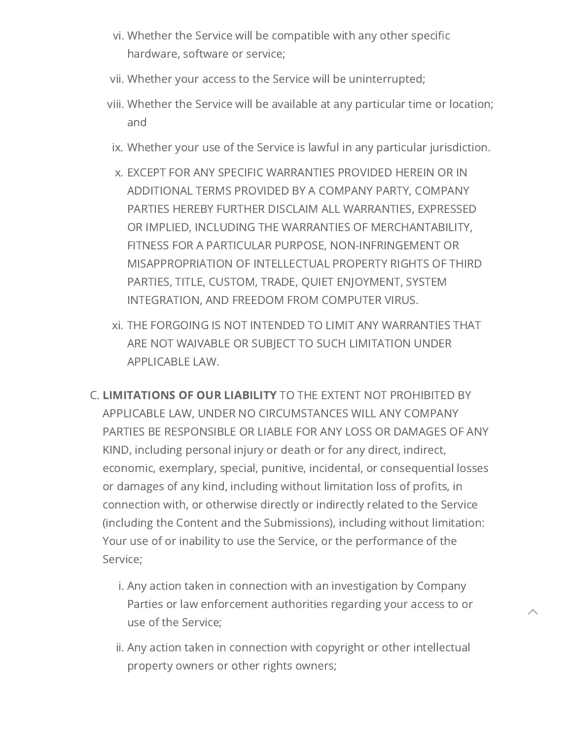- vi. Whether the Service will be compatible with any other specific hardware, software or service;
- vii. Whether your access to the Service will be uninterrupted;
- viii. Whether the Service will be available at any particular time or location; and
- ix. Whether your use of the Service is lawful in any particular jurisdiction.
- x. EXCEPT FOR ANY SPECIFIC WARRANTIES PROVIDED HEREIN OR IN ADDITIONAL TERMS PROVIDED BY A COMPANY PARTY, COMPANY PARTIES HEREBY FURTHER DISCLAIM ALL WARRANTIES, EXPRESSED OR IMPLIED, INCLUDING THE WARRANTIES OF MERCHANTABILITY, FITNESS FOR A PARTICULAR PURPOSE, NON-INFRINGEMENT OR MISAPPROPRIATION OF INTELLECTUAL PROPERTY RIGHTS OF THIRD PARTIES, TITLE, CUSTOM, TRADE, QUIET ENJOYMENT, SYSTEM INTEGRATION, AND FREEDOM FROM COMPUTER VIRUS.
- xi. THE FORGOING IS NOT INTENDED TO LIMIT ANY WARRANTIES THAT ARE NOT WAIVABLE OR SUBJECT TO SUCH LIMITATION UNDER APPLICABLE LAW.
- <span id="page-21-0"></span>C. LIMITATIONS OF OUR LIABILITY TO THE EXTENT NOT PROHIBITED BY APPLICABLE LAW, UNDER NO CIRCUMSTANCES WILL ANY COMPANY PARTIES BE RESPONSIBLE OR LIABLE FOR ANY LOSS OR DAMAGES OF ANY KIND, including personal injury or death or for any direct, indirect, economic, exemplary, special, punitive, incidental, or consequential losses or damages of any kind, including without limitation loss of profits, in connection with, or otherwise directly or indirectly related to the Service (including the Content and the Submissions), including without limitation: Your use of or inability to use the Service, or the performance of the Service;
	- i. Any action taken in connection with an investigation by Company Parties or law enforcement authorities regarding your access to or use of the Service;

ii. Any action taken in connection with copyright or other intellectual property owners or other rights owners;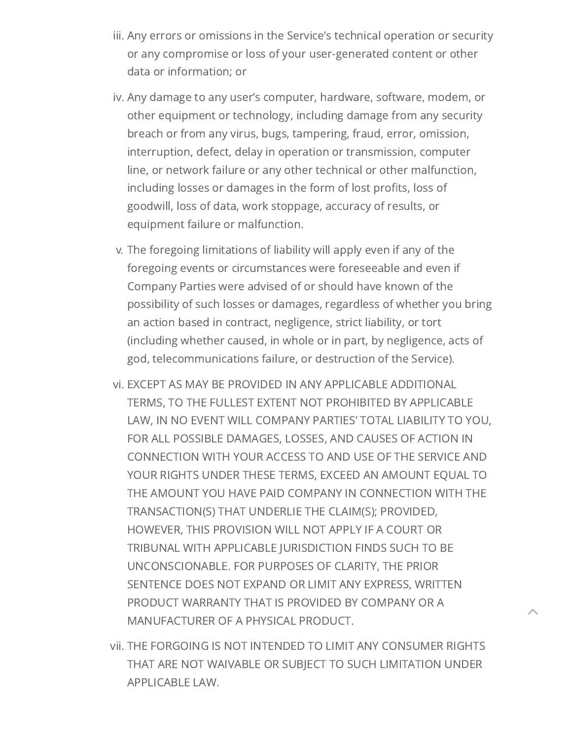- iii. Any errors or omissions in the Service's technical operation or security or any compromise or loss of your user-generated content or other data or information; or
- iv. Any damage to any user's computer, hardware, software, modem, or other equipment or technology, including damage from any security breach or from any virus, bugs, tampering, fraud, error, omission, interruption, defect, delay in operation or transmission, computer line, or network failure or any other technical or other malfunction, including losses or damages in the form of lost profits, loss of goodwill, loss of data, work stoppage, accuracy of results, or equipment failure or malfunction.
- v. The foregoing limitations of liability will apply even if any of the foregoing events or circumstances were foreseeable and even if Company Parties were advised of or should have known of the possibility of such losses or damages, regardless of whether you bring an action based in contract, negligence, strict liability, or tort (including whether caused, in whole or in part, by negligence, acts of god, telecommunications failure, or destruction of the Service).
- vi. EXCEPT AS MAY BE PROVIDED IN ANY APPLICABLE ADDITIONAL TERMS, TO THE FULLEST EXTENT NOT PROHIBITED BY APPLICABLE LAW, IN NO EVENT WILL COMPANY PARTIES' TOTAL LIABILITY TO YOU, FOR ALL POSSIBLE DAMAGES, LOSSES, AND CAUSES OF ACTION IN CONNECTION WITH YOUR ACCESS TO AND USE OF THE SERVICE AND YOUR RIGHTS UNDER THESE TERMS, EXCEED AN AMOUNT EQUAL TO THE AMOUNT YOU HAVE PAID COMPANY IN CONNECTION WITH THE TRANSACTION(S) THAT UNDERLIE THE CLAIM(S); PROVIDED, HOWEVER, THIS PROVISION WILL NOT APPLY IF A COURT OR TRIBUNAL WITH APPLICABLE JURISDICTION FINDS SUCH TO BE UNCONSCIONABLE. FOR PURPOSES OF CLARITY, THE PRIOR SENTENCE DOES NOT EXPAND OR LIMIT ANY EXPRESS, WRITTEN PRODUCT WARRANTY THAT IS PROVIDED BY COMPANY OR A MANUFACTURER OF A PHYSICAL PRODUCT.
- vii. THE FORGOING IS NOT INTENDED TO LIMIT ANY CONSUMER RIGHTS THAT ARE NOT WAIVABLE OR SUBJECT TO SUCH LIMITATION UNDER APPLICABLE LAW.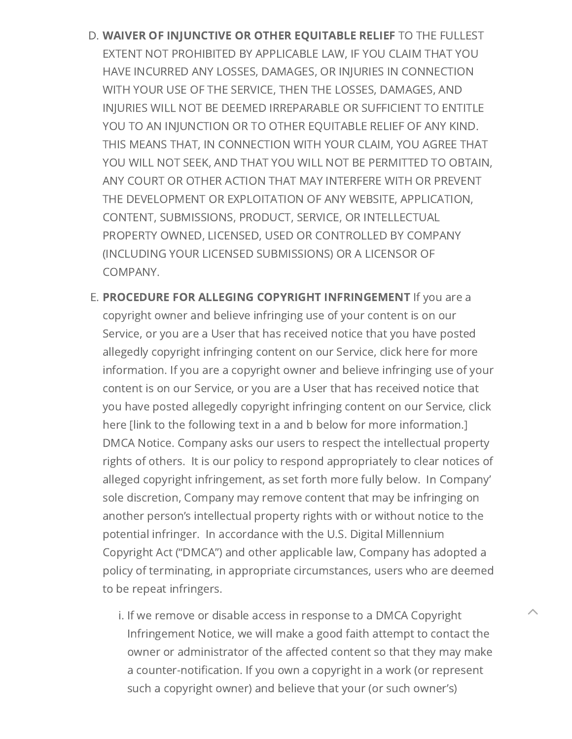- <span id="page-23-0"></span>D. WAIVER OF INJUNCTIVE OR OTHER EQUITABLE RELIEF TO THE FULLEST EXTENT NOT PROHIBITED BY APPLICABLE LAW, IF YOU CLAIM THAT YOU HAVE INCURRED ANY LOSSES, DAMAGES, OR INJURIES IN CONNECTION WITH YOUR USE OF THE SERVICE, THEN THE LOSSES, DAMAGES, AND INJURIES WILL NOT BE DEEMED IRREPARABLE OR SUFFICIENT TO ENTITLE YOU TO AN INJUNCTION OR TO OTHER EQUITABLE RELIEF OF ANY KIND. THIS MEANS THAT, IN CONNECTION WITH YOUR CLAIM, YOU AGREE THAT YOU WILL NOT SEEK, AND THAT YOU WILL NOT BE PERMITTED TO OBTAIN, ANY COURT OR OTHER ACTION THAT MAY INTERFERE WITH OR PREVENT THE DEVELOPMENT OR EXPLOITATION OF ANY WEBSITE, APPLICATION, CONTENT, SUBMISSIONS, PRODUCT, SERVICE, OR INTELLECTUAL PROPERTY OWNED, LICENSED, USED OR CONTROLLED BY COMPANY (INCLUDING YOUR LICENSED SUBMISSIONS) OR A LICENSOR OF COMPANY.
- <span id="page-23-1"></span>E. PROCEDURE FOR ALLEGING COPYRIGHT INFRINGEMENT If you are a copyright owner and believe infringing use of your content is on our Service, or you are a User that has received notice that you have posted allegedly copyright infringing content on our Service, click here for more information. If you are a copyright owner and believe infringing use of your content is on our Service, or you are a User that has received notice that you have posted allegedly copyright infringing content on our Service, click here [link to the following text in a and b below for more information.] DMCA Notice. Company asks our users to respect the intellectual property rights of others. It is our policy to respond appropriately to clear notices of alleged copyright infringement, as set forth more fully below. In Company' sole discretion, Company may remove content that may be infringing on another person's intellectual property rights with or without notice to the potential infringer. In accordance with the U.S. Digital Millennium Copyright Act ("DMCA") and other applicable law, Company has adopted a policy of terminating, in appropriate circumstances, users who are deemed to be repeat infringers.
	- i. If we remove or disable access in response to a DMCA Copyright Infringement Notice, we will make a good faith attempt to contact the owner or administrator of the affected content so that they may make a counter-notification. If you own a copyright in a work (or represent such a copyright owner) and believe that your (or such owner's)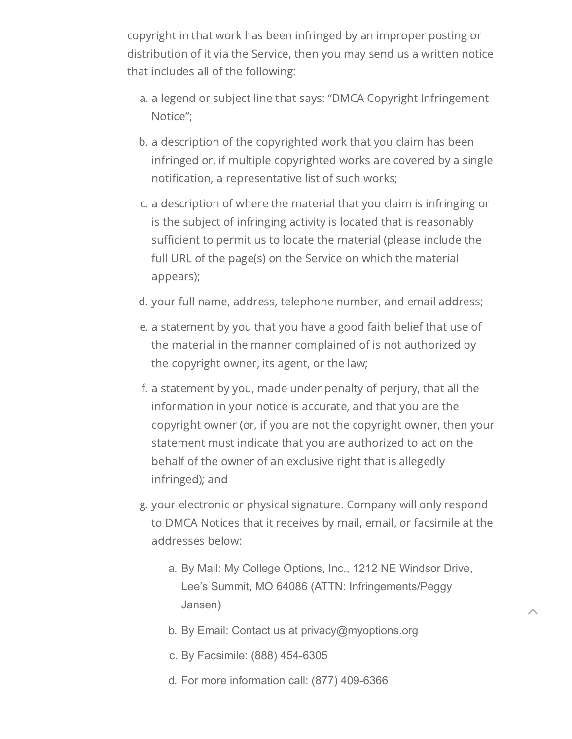copyright in that work has been infringed by an improper posting or distribution of it via the Service, then you may send us a written notice that includes all of the following:

- a. a legend or subject line that says: "DMCA Copyright Infringement Notice";
- b. a description of the copyrighted work that you claim has been infringed or, if multiple copyrighted works are covered by a single notification, a representative list of such works;
- c. a description of where the material that you claim is infringing or is the subject of infringing activity is located that is reasonably sufficient to permit us to locate the material (please include the full URL of the page(s) on the Service on which the material appears);
- d. your full name, address, telephone number, and email address;
- e. a statement by you that you have a good faith belief that use of the material in the manner complained of is not authorized by the copyright owner, its agent, or the law;
- f. a statement by you, made under penalty of perjury, that all the information in your notice is accurate, and that you are the copyright owner (or, if you are not the copyright owner, then your statement must indicate that you are authorized to act on the behalf of the owner of an exclusive right that is allegedly infringed); and
- g. your electronic or physical signature. Company will only respond to DMCA Notices that it receives by mail, email, or facsimile at the addresses below:
	- a. By Mail: My College Options, Inc., 1212 NE Windsor Drive, Lee's Summit, MO 64086 (ATTN: Infringements/Peggy Jansen)

- b. By Email: Contact us at privacy@myoptions.org
- c. By Facsimile: (888) 454-6305
- d. For more information call: (877) 409-6366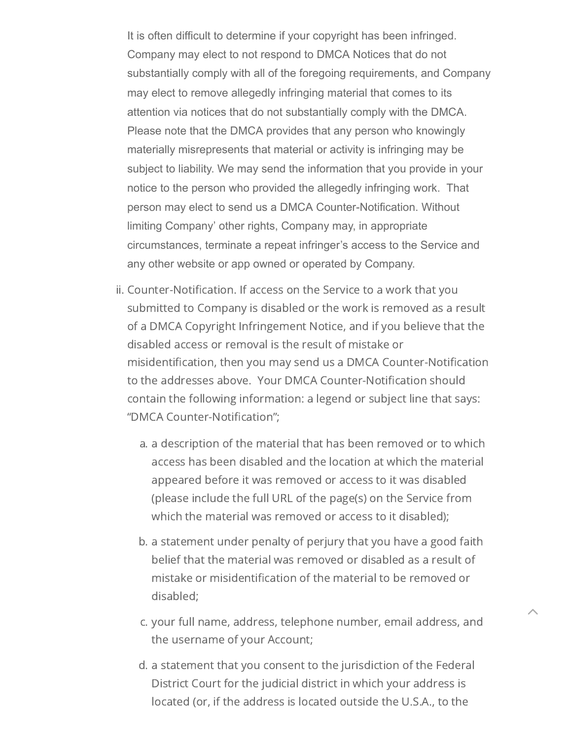It is often difficult to determine if your copyright has been infringed. Company may elect to not respond to DMCA Notices that do not substantially comply with all of the foregoing requirements, and Company may elect to remove allegedly infringing material that comes to its attention via notices that do not substantially comply with the DMCA. Please note that the DMCA provides that any person who knowingly materially misrepresents that material or activity is infringing may be subject to liability. We may send the information that you provide in your notice to the person who provided the allegedly infringing work. That person may elect to send us a DMCA Counter-Notification. Without limiting Company' other rights, Company may, in appropriate circumstances, terminate a repeat infringer's access to the Service and any other website or app owned or operated by Company.

- ii. Counter-Notification. If access on the Service to a work that you submitted to Company is disabled or the work is removed as a result of a DMCA Copyright Infringement Notice, and if you believe that the disabled access or removal is the result of mistake or misidentification, then you may send us a DMCA Counter-Notification to the addresses above. Your DMCA Counter-Notification should contain the following information: a legend or subject line that says: "DMCA Counter-Notification";
	- a. a description of the material that has been removed or to which access has been disabled and the location at which the material appeared before it was removed or access to it was disabled (please include the full URL of the page(s) on the Service from which the material was removed or access to it disabled);
	- b. a statement under penalty of perjury that you have a good faith belief that the material was removed or disabled as a result of mistake or misidentification of the material to be removed or disabled;
	- c. your full name, address, telephone number, email address, and the username of your Account;

 $\lambda$ 

d. a statement that you consent to the jurisdiction of the Federal District Court for the judicial district in which your address is located (or, if the address is located outside the U.S.A., to the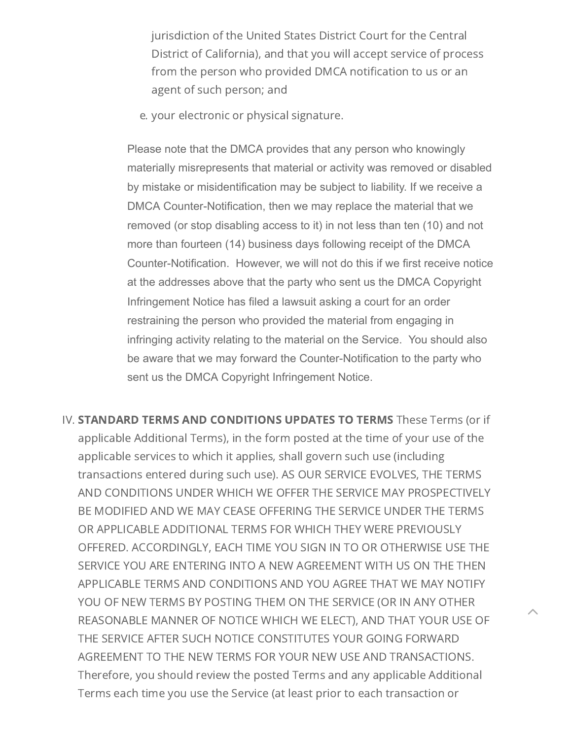jurisdiction of the United States District Court for the Central District of California), and that you will accept service of process from the person who provided DMCA notification to us or an agent of such person; and

e. your electronic or physical signature.

Please note that the DMCA provides that any person who knowingly materially misrepresents that material or activity was removed or disabled by mistake or misidentification may be subject to liability. If we receive a DMCA Counter-Notification, then we may replace the material that we removed (or stop disabling access to it) in not less than ten (10) and not more than fourteen (14) business days following receipt of the DMCA Counter-Notification. However, we will not do this if we first receive notice at the addresses above that the party who sent us the DMCA Copyright Infringement Notice has filed a lawsuit asking a court for an order restraining the person who provided the material from engaging in infringing activity relating to the material on the Service. You should also be aware that we may forward the Counter-Notification to the party who sent us the DMCA Copyright Infringement Notice.

<span id="page-26-0"></span>IV. STANDARD TERMS AND CONDITIONS UPDATES TO TERMS These Terms (or if applicable Additional Terms), in the form posted at the time of your use of the applicable services to which it applies, shall govern such use (including transactions entered during such use). AS OUR SERVICE EVOLVES, THE TERMS AND CONDITIONS UNDER WHICH WE OFFER THE SERVICE MAY PROSPECTIVELY BE MODIFIED AND WE MAY CEASE OFFERING THE SERVICE UNDER THE TERMS OR APPLICABLE ADDITIONAL TERMS FOR WHICH THEY WERE PREVIOUSLY OFFERED. ACCORDINGLY, EACH TIME YOU SIGN IN TO OR OTHERWISE USE THE SERVICE YOU ARE ENTERING INTO A NEW AGREEMENT WITH US ON THE THEN APPLICABLE TERMS AND CONDITIONS AND YOU AGREE THAT WE MAY NOTIFY YOU OF NEW TERMS BY POSTING THEM ON THE SERVICE (OR IN ANY OTHER REASONABLE MANNER OF NOTICE WHICH WE ELECT), AND THAT YOUR USE OF THE SERVICE AFTER SUCH NOTICE CONSTITUTES YOUR GOING FORWARD AGREEMENT TO THE NEW TERMS FOR YOUR NEW USE AND TRANSACTIONS. Therefore, you should review the posted Terms and any applicable Additional Terms each time you use the Service (at least prior to each transaction or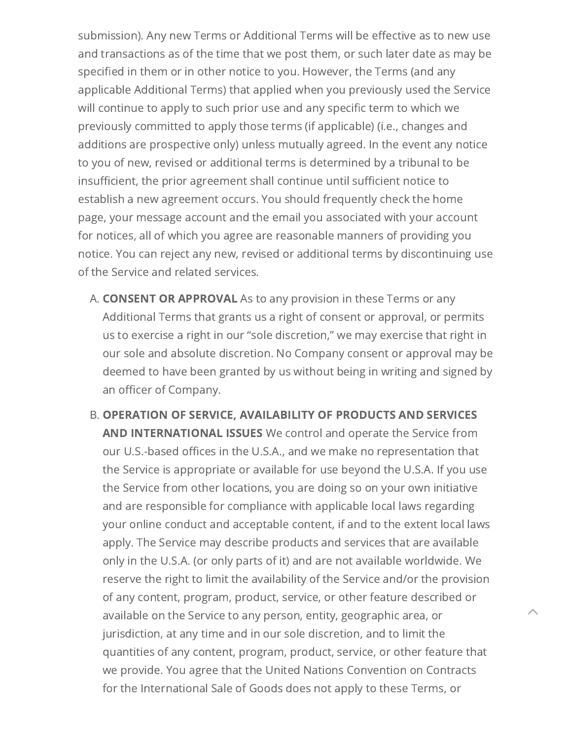submission). Any new Terms or Additional Terms will be effective as to new use and transactions as of the time that we post them, or such later date as may be specified in them or in other notice to you. However, the Terms (and any applicable Additional Terms) that applied when you previously used the Service will continue to apply to such prior use and any specific term to which we previously committed to apply those terms (if applicable) (i.e., changes and additions are prospective only) unless mutually agreed. In the event any notice to you of new, revised or additional terms is determined by a tribunal to be insufficient, the prior agreement shall continue until sufficient notice to establish a new agreement occurs. You should frequently check the home page, your message account and the email you associated with your account for notices, all of which you agree are reasonable manners of providing you notice. You can reject any new, revised or additional terms by discontinuing use of the Service and related services.

- <span id="page-27-0"></span>A. **CONSENT OR APPROVAL** As to any provision in these Terms or any Additional Terms that grants us a right of consent or approval, or permits us to exercise a right in our "sole discretion," we may exercise that right in our sole and absolute discretion. No Company consent or approval may be deemed to have been granted by us without being in writing and signed by an officer of Company.
- <span id="page-27-1"></span>B. OPERATION OF SERVICE, AVAILABILITY OF PRODUCTS AND SERVICES AND INTERNATIONAL ISSUES We control and operate the Service from our U.S.-based offices in the U.S.A., and we make no representation that the Service is appropriate or available for use beyond the U.S.A. If you use the Service from other locations, you are doing so on your own initiative and are responsible for compliance with applicable local laws regarding your online conduct and acceptable content, if and to the extent local laws apply. The Service may describe products and services that are available only in the U.S.A. (or only parts of it) and are not available worldwide. We reserve the right to limit the availability of the Service and/or the provision of any content, program, product, service, or other feature described or available on the Service to any person, entity, geographic area, or jurisdiction, at any time and in our sole discretion, and to limit the quantities of any content, program, product, service, or other feature that we provide. You agree that the United Nations Convention on Contracts for the International Sale of Goods does not apply to these Terms, or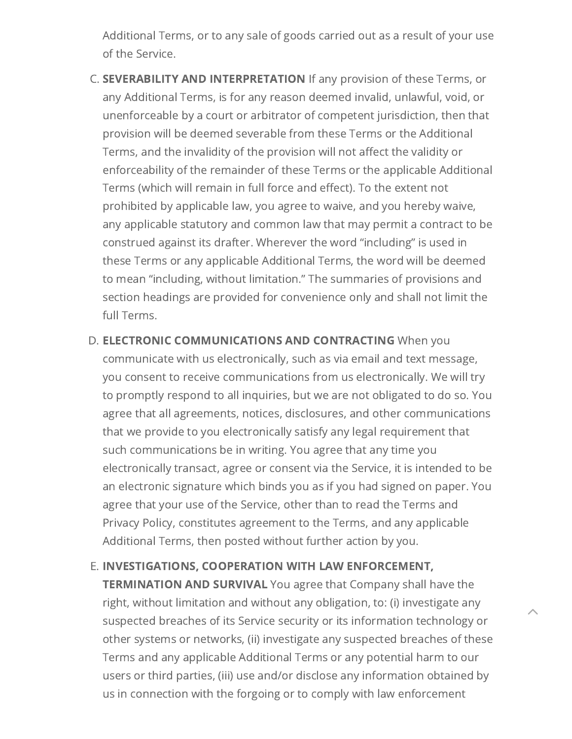Additional Terms, or to any sale of goods carried out as a result of your use of the Service.

- <span id="page-28-0"></span>C. SEVERABILITY AND INTERPRETATION If any provision of these Terms, or any Additional Terms, is for any reason deemed invalid, unlawful, void, or unenforceable by a court or arbitrator of competent jurisdiction, then that provision will be deemed severable from these Terms or the Additional Terms, and the invalidity of the provision will not affect the validity or enforceability of the remainder of these Terms or the applicable Additional Terms (which will remain in full force and effect). To the extent not prohibited by applicable law, you agree to waive, and you hereby waive, any applicable statutory and common law that may permit a contract to be construed against its drafter. Wherever the word "including" is used in these Terms or any applicable Additional Terms, the word will be deemed to mean "including, without limitation." The summaries of provisions and section headings are provided for convenience only and shall not limit the full Terms.
- <span id="page-28-1"></span>D. ELECTRONIC COMMUNICATIONS AND CONTRACTING When you communicate with us electronically, such as via email and text message, you consent to receive communications from us electronically. We will try to promptly respond to all inquiries, but we are not obligated to do so. You agree that all agreements, notices, disclosures, and other communications that we provide to you electronically satisfy any legal requirement that such communications be in writing. You agree that any time you electronically transact, agree or consent via the Service, it is intended to be an electronic signature which binds you as if you had signed on paper. You agree that your use of the Service, other than to read the Terms and Privacy Policy, constitutes agreement to the Terms, and any applicable Additional Terms, then posted without further action by you.

<span id="page-28-2"></span>E. INVESTIGATIONS, COOPERATION WITH LAW ENFORCEMENT, **TERMINATION AND SURVIVAL** You agree that Company shall have the right, without limitation and without any obligation, to: (i) investigate any suspected breaches of its Service security or its information technology or other systems or networks, (ii) investigate any suspected breaches of these Terms and any applicable Additional Terms or any potential harm to our users or third parties, (iii) use and/or disclose any information obtained by us in connection with the forgoing or to comply with law enforcement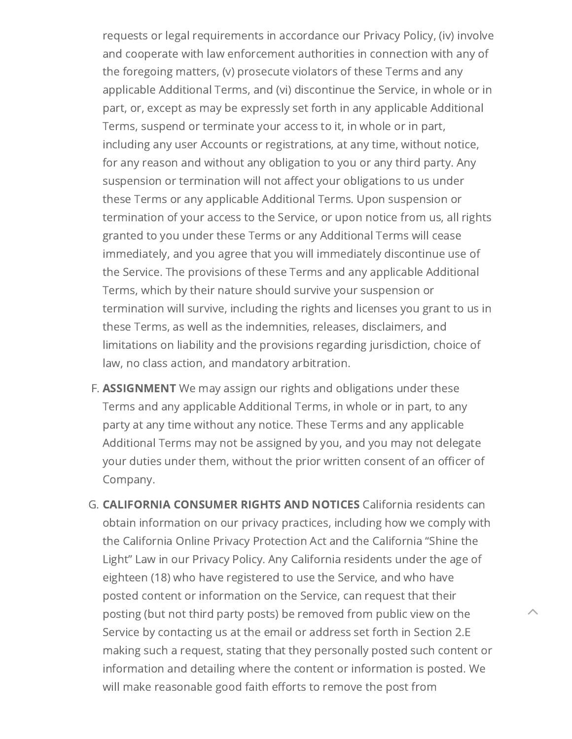requests or legal requirements in accordance our Privacy Policy, (iv) involve and cooperate with law enforcement authorities in connection with any of the foregoing matters, (v) prosecute violators of these Terms and any applicable Additional Terms, and (vi) discontinue the Service, in whole or in part, or, except as may be expressly set forth in any applicable Additional Terms, suspend or terminate your access to it, in whole or in part, including any user Accounts or registrations, at any time, without notice, for any reason and without any obligation to you or any third party. Any suspension or termination will not affect your obligations to us under these Terms or any applicable Additional Terms. Upon suspension or termination of your access to the Service, or upon notice from us, all rights granted to you under these Terms or any Additional Terms will cease immediately, and you agree that you will immediately discontinue use of the Service. The provisions of these Terms and any applicable Additional Terms, which by their nature should survive your suspension or termination will survive, including the rights and licenses you grant to us in these Terms, as well as the indemnities, releases, disclaimers, and limitations on liability and the provisions regarding jurisdiction, choice of law, no class action, and mandatory arbitration.

- <span id="page-29-0"></span>F. **ASSIGNMENT** We may assign our rights and obligations under these Terms and any applicable Additional Terms, in whole or in part, to any party at any time without any notice. These Terms and any applicable Additional Terms may not be assigned by you, and you may not delegate your duties under them, without the prior written consent of an officer of Company.
- <span id="page-29-1"></span>G. CALIFORNIA CONSUMER RIGHTS AND NOTICES California residents can obtain information on our privacy practices, including how we comply with the California Online Privacy Protection Act and the California "Shine the Light" Law in our Privacy Policy. Any California residents under the age of eighteen (18) who have registered to use the Service, and who have posted content or information on the Service, can request that their posting (but not third party posts) be removed from public view on the Service by contacting us at the email or address set forth in Section 2.E making such a request, stating that they personally posted such content or information and detailing where the content or information is posted. We will make reasonable good faith efforts to remove the post from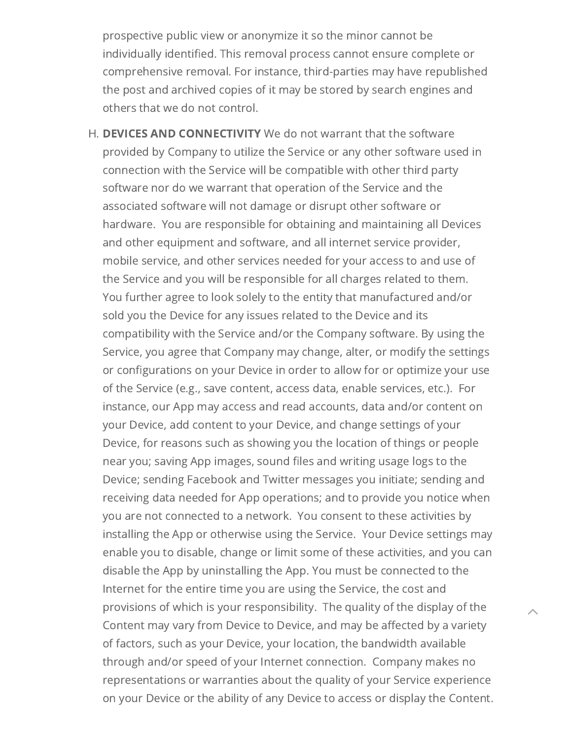prospective public view or anonymize it so the minor cannot be individually identified. This removal process cannot ensure complete or comprehensive removal. For instance, third-parties may have republished the post and archived copies of it may be stored by search engines and others that we do not control.

<span id="page-30-0"></span>H. DEVICES AND CONNECTIVITY We do not warrant that the software provided by Company to utilize the Service or any other software used in connection with the Service will be compatible with other third party software nor do we warrant that operation of the Service and the associated software will not damage or disrupt other software or hardware. You are responsible for obtaining and maintaining all Devices and other equipment and software, and all internet service provider, mobile service, and other services needed for your access to and use of the Service and you will be responsible for all charges related to them. You further agree to look solely to the entity that manufactured and/or sold you the Device for any issues related to the Device and its compatibility with the Service and/or the Company software. By using the Service, you agree that Company may change, alter, or modify the settings or configurations on your Device in order to allow for or optimize your use of the Service (e.g., save content, access data, enable services, etc.). For instance, our App may access and read accounts, data and/or content on your Device, add content to your Device, and change settings of your Device, for reasons such as showing you the location of things or people near you; saving App images, sound files and writing usage logs to the Device; sending Facebook and Twitter messages you initiate; sending and receiving data needed for App operations; and to provide you notice when you are not connected to a network. You consent to these activities by installing the App or otherwise using the Service. Your Device settings may enable you to disable, change or limit some of these activities, and you can disable the App by uninstalling the App. You must be connected to the Internet for the entire time you are using the Service, the cost and provisions of which is your responsibility. The quality of the display of the Content may vary from Device to Device, and may be affected by a variety of factors, such as your Device, your location, the bandwidth available through and/or speed of your Internet connection. Company makes no representations or warranties about the quality of your Service experience on your Device or the ability of any Device to access or display the Content.